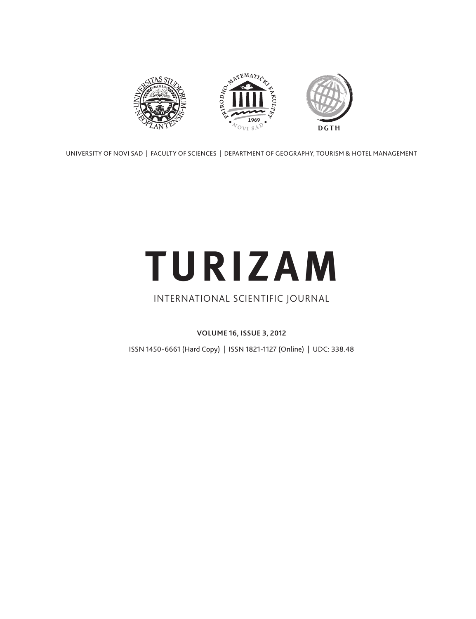

UNIVERSITY OF NOVI SAD | FACULTY OF SCIENCES | DEPARTMENT OF GEOGRAPHY, TOURISM & HOTEL MANAGEMENT

# **TURIZAM**

# INTERNATIONAL SCIENTIFIC JOURNAL

**VOLUME 16, ISSUE 3, 2012**

ISSN 1450-6661 (Hard Copy) | ISSN 1821-1127 (Online) | UDC: 338.48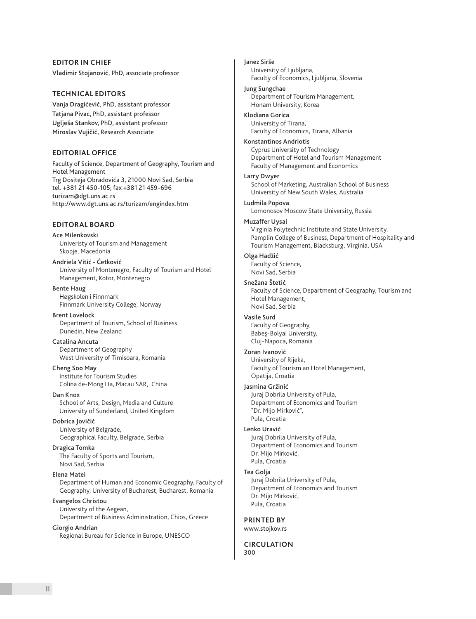# **EDITOR IN CHIEF**

Vladimir Stojanović, PhD, associate professor

# **TECHNICAL EDITORS**

Vanja Dragićević, PhD, assistant professor Tatjana Pivac, PhD, assistant professor Uglješa Stankov, PhD, assistant professor Miroslav Vujičić, Research Associate

# **EDITORIAL OFFICE**

Faculty of Science, Department of Geography, Tourism and Hotel Management Trg Dositeja Obradovića 3, 21000 Novi Sad, Serbia tel. +381 21 450-105; fax +381 21 459-696 turizam@dgt.uns.ac.rs http://www.dgt.uns.ac.rs/turizam/engindex.htm

# **EDITORAL BOARD**

# Ace Milenkovski

Univeristy of Tourism and Management Skopje, Macedonia

Andriela Vitić - Ćetković University of Montenegro, Faculty of Tourism and Hotel Management, Kotor, Montenegro

# Bente Haug

Høgskolen i Finnmark Finnmark University College, Norway

Brent Lovelock Department of Tourism, School of Business Dunedin, New Zealand

# Catalina Ancuta

Department of Geography West University of Timisoara, Romania

# Cheng Soo May

Institute for Tourism Studies Colina de-Mong Ha, Macau SAR, China

# Dan Knox

School of Arts, Design, Media and Culture University of Sunderland, United Kingdom

# Dobrica Jovičić

University of Belgrade, Geographical Faculty, Belgrade, Serbia

# Dragica Tomka

The Faculty of Sports and Tourism, Novi Sad, Serbia

# Elena Matei

Department of Human and Economic Geography, Faculty of Geography, University of Bucharest, Bucharest, Romania

# Evangelos Christou

University of the Aegean, Department of Business Administration, Chios, Greece

# Giorgio Andrian

Regional Bureau for Science in Europe, UNESCO

# Janez Sirše

University of Ljubljana, Faculty of Economics, Ljubljana, Slovenia

# Jung Sungchae

Department of Tourism Management, Honam University, Korea

# Klodiana Gorica

University of Tirana, Faculty of Economics, Tirana, Albania

# Konstantinos Andriotis

Cyprus University of Technology Department of Hotel and Tourism Management Faculty of Management and Economics

# Larry Dwyer

School of Marketing, Australian School of Business University of New South Wales, Australia

# Ludmila Popova

Lomonosov Moscow State University, Russia

# Muzaffer Uysal

Virginia Polytechnic Institute and State University, Pamplin College of Business, Department of Hospitality and Tourism Management, Blacksburg, Virginia, USA

# Olga Hadžić

Faculty of Science, Novi Sad, Serbia

# Snežana Štetić

Faculty of Science, Department of Geography, Tourism and Hotel Management, Novi Sad, Serbia

# Vasile Surd

Faculty of Geography, Babeş-Bolyai University, Cluj-Napoca, Romania

# Zoran Ivanović

University of Rijeka, Faculty of Tourism an Hotel Management, Opatija, Croatia

# Jasmina Gržinić

Juraj Dobrila University of Pula, Department of Economics and Tourism "Dr. Mijo Mirković", Pula, Croatia

# Lenko Uravić

Juraj Dobrila University of Pula, Department of Economics and Tourism Dr. Mijo Mirković, Pula, Croatia

# Tea Golja

Juraj Dobrila University of Pula, Department of Economics and Tourism Dr. Mijo Mirković, Pula, Croatia

# **PRINTED BY**

www.stojkov.rs

#### **CIRCULATION** 300